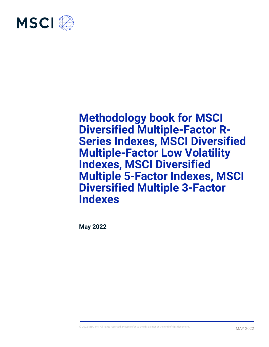

**May 2022**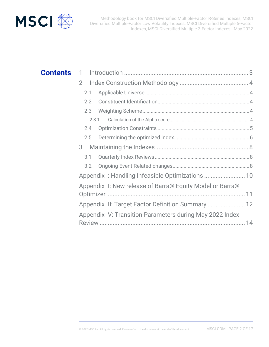

# 1 Introduction ............................................................................ 3 **Contents**

| $\overline{2}$                                            |                                                    |  |  |  |
|-----------------------------------------------------------|----------------------------------------------------|--|--|--|
| 2.1                                                       |                                                    |  |  |  |
| 2.2                                                       |                                                    |  |  |  |
| 2.3                                                       |                                                    |  |  |  |
| 2.3.1                                                     |                                                    |  |  |  |
| 2.4                                                       |                                                    |  |  |  |
| 2.5                                                       |                                                    |  |  |  |
| 3                                                         |                                                    |  |  |  |
| 3.1                                                       |                                                    |  |  |  |
| 3.2                                                       |                                                    |  |  |  |
| Appendix I: Handling Infeasible Optimizations  10         |                                                    |  |  |  |
| Appendix II: New release of Barra® Equity Model or Barra® |                                                    |  |  |  |
|                                                           |                                                    |  |  |  |
|                                                           | Appendix III: Target Factor Definition Summary  12 |  |  |  |
| Appendix IV: Transition Parameters during May 2022 Index  |                                                    |  |  |  |
|                                                           |                                                    |  |  |  |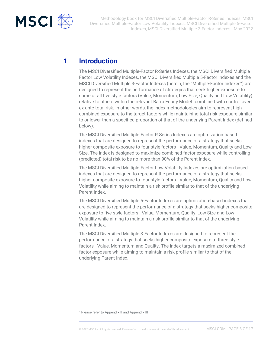

## **1 Introduction**

The MSCI Diversified Multiple-Factor R-Series Indexes, the MSCI Diversified Multiple Factor Low Volatility Indexes, the MSCI Diversified Multiple 5-Factor Indexes and the MSCI Diversified Multiple 3-Factor Indexes (herein, the "Multiple-Factor Indexes") are designed to represent the performance of strategies that seek higher exposure to some or all five style factors (Value, Momentum, Low Size, Quality and Low Volatility) relative to others within the relevant Barra Equity Model<sup>1</sup> combined with control over ex-ante total risk. In other words, the index methodologies aim to represent high combined exposure to the target factors while maintaining total risk exposure similar to or lower than a specified proportion of that of the underlying Parent Index (defined below).

The MSCI Diversified Multiple-Factor R-Series Indexes are optimization-based indexes that are designed to represent the performance of a strategy that seeks higher composite exposure to four style factors - Value, Momentum, Quality and Low Size. The index is designed to maximize combined factor exposure while controlling (predicted) total risk to be no more than 90% of the Parent Index.

The MSCI Diversified Multiple-Factor Low Volatility Indexes are optimization-based indexes that are designed to represent the performance of a strategy that seeks higher composite exposure to four style factors - Value, Momentum, Quality and Low Volatility while aiming to maintain a risk profile similar to that of the underlying Parent Index.

The MSCI Diversified Multiple 5-Factor Indexes are optimization-based indexes that are designed to represent the performance of a strategy that seeks higher composite exposure to five style factors - Value, Momentum, Quality, Low Size and Low Volatility while aiming to maintain a risk profile similar to that of the underlying Parent Index.

The MSCI Diversified Multiple 3-Factor Indexes are designed to represent the performance of a strategy that seeks higher composite exposure to three style factors - Value, Momentum and Quality. The index targets a maximized combined factor exposure while aiming to maintain a risk profile similar to that of the underlying Parent Index.

<sup>&</sup>lt;sup>1</sup> Please refer to Appendix II and Appendix III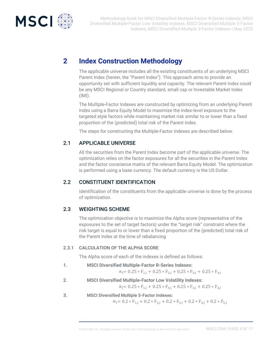

# **2 Index Construction Methodology**

The applicable universe includes all the existing constituents of an underlying MSCI Parent Index (herein, the "Parent Index"). This approach aims to provide an opportunity set with sufficient liquidity and capacity. The relevant Parent Index could be any MSCI Regional or Country standard, small cap or Investable Market Index (IMI).

The Multiple-Factor Indexes are constructed by optimizing from an underlying Parent Index using a Barra Equity Model to maximize the index-level exposure to the targeted style factors while maintaining market risk similar to or lower than a fixed proportion of the (predicted) total risk of the Parent Index.

The steps for constructing the Multiple-Factor Indexes are described below.

### 2.1 APPLICABLE UNIVERSE

All the securities from the Parent Index become part of the applicable universe. The optimization relies on the factor exposures for all the securities in the Parent Index and the factor covariance matrix of the relevant Barra Equity Model. The optimization is performed using a base currency. The default currency is the US Dollar.

### 2.2 CONSTITUENT IDENTIFICATION

Identification of the constituents from the applicable universe is done by the process of optimization.

### 2.3 WEIGHTING SCHEME

The optimization objective is to maximize the Alpha score (representative of the exposures to the set of target factors) under the "target risk" constraint where the risk target is equal to or lower than a fixed proportion of the (predicted) total risk of the Parent Index at the time of rebalancing

#### **2.3.1 CALCULATION OF THE ALPHA SCORE**

The Alpha score of each of the indexes is defined as follows:

**1. MSCI Diversified Multiple-Factor R-Series Indexes:**

 $\alpha_i = 0.25 * F_{1,i} + 0.25 * F_{2,i} + 0.25 * F_{3,i} + 0.25 * F_{4,i}$ 

**2. MSCI Diversified Multiple-Factor Low Volatility Indexes:**

 $\alpha_i = 0.25 * F_{1,i} + 0.25 * F_{5,i} + 0.25 * F_{3,i} + 0.25 * F_{4,i}$ 

**3. MSCI Diversified Multiple 5-Factor Indexes:**

 $\alpha_i = 0.2 * F_{1,i} + 0.2 * F_{2,i} + 0.2 * F_{3,i} + 0.2 * F_{4,i} + 0.2 * F_{5,i}$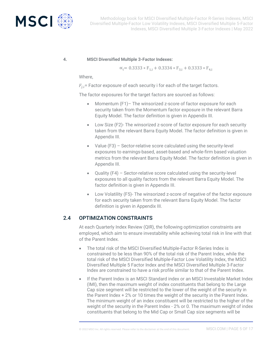

#### **4. MSCI Diversified Multiple 3-Factor Indexes:**

 $\alpha_i= 0.3333 * F_{1,i} + 0.3334 * F_{3,i} + 0.3333 * F_{4,i}$ 

Where,

 $F_{i,i}$  Factor exposure of each security i for each of the target factors.

The factor exposures for the target factors are sourced as follows:

- Momentum (F1)– The winsorized z-score of factor exposure for each security taken from the Momentum factor exposure in the relevant Barra Equity Model. The factor definition is given in Appendix III.
- Low Size (F2)- The winsorized z-score of factor exposure for each security taken from the relevant Barra Equity Model. The factor definition is given in Appendix III.
- Value (F3) Sector-relative score calculated using the security-level exposures to earnings-based, asset-based and whole-firm based valuation metrics from the relevant Barra Equity Model. The factor definition is given in Appendix III.
- Quality (F4) Sector-relative score calculated using the security-level exposures to all quality factors from the relevant Barra Equity Model. The factor definition is given in Appendix III.
- Low Volatility (F5)- The winsorized z-score of negative of the factor exposure for each security taken from the relevant Barra Equity Model. The factor definition is given in Appendix III.

### 2.4 OPTIMIZATION CONSTRAINTS

At each Quarterly Index Review (QIR), the following optimization constraints are employed, which aim to ensure investability while achieving total risk in line with that of the Parent Index.

- The total risk of the MSCI Diversified Multiple-Factor R-Series Index is constrained to be less than 90% of the total risk of the Parent Index, while the total risk of the MSCI Diversified Multiple-Factor Low Volatility Index, the MSCI Diversified Multiple 5 Factor Index and the MSCI Diversified Multiple 3-Factor Index are constrained to have a risk profile similar to that of the Parent Index.
- If the Parent Index is an MSCI Standard index or an MSCI Investable Market Index (IMI), then the maximum weight of index constituents that belong to the Large Cap size segment will be restricted to the lower of the weight of the security in the Parent Index + 2% or 10 times the weight of the security in the Parent Index. The minimum weight of an index constituent will be restricted to the higher of the weight of the security in the Parent Index - 2% or 0. The maximum weight of index constituents that belong to the Mid Cap or Small Cap size segments will be

© 2022 MSCI Inc. All rights reserved. Please refer to the disclaimer at the end of this document. MSCI.COM | PAGE 5 OF 17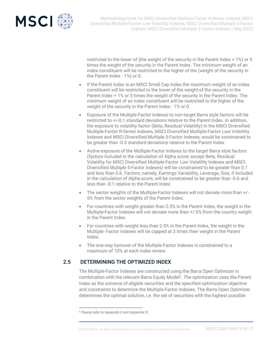

restricted to the lower of (the weight of the security in the Parent Index + 1%) or 5 times the weight of the security in the Parent Index. The minimum weight of an index constituent will be restricted to the higher of the (weight of the security in the Parent Index - 1%) or 0.

- If the Parent Index is an MSCI Small Cap Index the maximum weight of an index constituent will be restricted to the lower of the weight of the security in the Parent Index + 1% or 5 times the weight of the security in the Parent Index. The minimum weight of an index constituent will be restricted to the higher of the weight of the security in the Parent Index - 1% or 0.
- Exposure of the Multiple-Factor Indexes to non-target Barra style factors will be restricted to +/-0.1 standard deviations relative to the Parent Index. In addition, the exposure to volatility factor (Beta, Residual Volatility) in the MSCI Diversified Multiple-Factor R-Series Indexes, MSCI Diversified Multiple-Factor Low Volatility Indexes and MSCI Diversified Multiple 5-Factor Indexes, would be constrained to be greater than -0.5 standard deviations relative to the Parent Index.
- Active exposure of the Multiple-Factor Indexes to the target Barra style factors (factors included in the calculation of Alpha score; except Beta, Residual Volatility for MSCI Diversified Multiple-Factor Low Volatility Indexes and MSCI Diversified Multiple 5-Factor Indexes) will be constrained to be greater than 0.1 and less than 0.6. Factors, namely, Earnings Variability, Leverage, Size, if included in the calculation of Alpha score, will be constrained to be greater than -0.6 and less than -0.1 relative to the Parent Index.
- The sector weights of the Multiple-Factor Indexes will not deviate more than +/- 5% from the sector weights of the Parent Index.
- For countries with weight greater than 2.5% in the Parent Index, the weight in the Multiple-Factor Indexes will not deviate more than +/-5% from the country weight in the Parent Index.
- For countries with weight less than 2.5% in the Parent Index, the weight in the Multiple- Factor Indexes will be capped at 3 times their weight in the Parent Index.
- The one-way turnover of the Multiple-Factor Indexes is constrained to a maximum of 10% at each index review.

### 2.5 DETERMINING THE OPTIMIZED INDEX

The Multiple-Factor Indexes are constructed using the Barra Open Optimizer in combination with the relevant Barra Equity Model<sup>2</sup>. The optimization uses the Parent Index as the universe of eligible securities and the specified optimization objective and constraints to determine the Multiple-Factor Indexes. The Barra Open Optimizer determines the optimal solution, i.e. the set of securities with the highest possible

<sup>2</sup> Please refer to Appendix II and Appendix III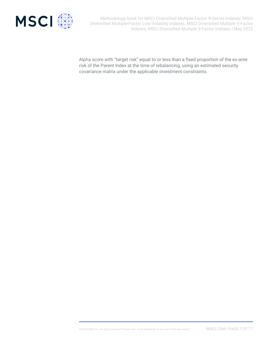

Alpha score with "target risk" equal to or less than a fixed proportion of the ex-ante risk of the Parent Index at the time of rebalancing, using an estimated security covariance matrix under the applicable investment constraints.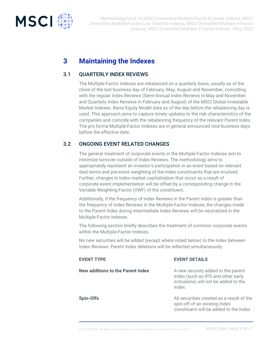

# **3 Maintaining the Indexes**

### 3.1 QUARTERLY INDEX REVIEWS

The Multiple-Factor Indexes are rebalanced on a quarterly basis, usually as of the close of the last business day of February, May, August and November, coinciding with the regular Index Reviews (Semi-Annual Index Reviews in May and November and Quarterly Index Reviews in February and August) of the MSCI Global Investable Market Indexes. Barra Equity Model data as of the day before the rebalancing day is used. This approach aims to capture timely updates to the risk characteristics of the companies and coincide with the rebalancing frequency of the relevant Parent Index. The pro forma Multiple-Factor Indexes are in general announced nine business days before the effective date.

### 3.2 ONGOING EVENT RELATED CHANGES

The general treatment of corporate events in the Multiple-Factor Indexes aim to minimize turnover outside of Index Reviews. The methodology aims to appropriately represent an investor's participation in an event based on relevant deal terms and pre-event weighting of the index constituents that are involved. Further, changes in index market capitalization that occur as a result of corporate event implementation will be offset by a corresponding change in the Variable Weighting Factor (VWF) of the constituent.

Additionally, if the frequency of Index Reviews in the Parent Index is greater than the frequency of Index Reviews in the Multiple-Factor Indexes, the changes made to the Parent Index during intermediate Index Reviews will be neutralized in the Multiple-Factor Indexes.

The following section briefly describes the treatment of common corporate events within the Multiple-Factor Indexes.

No new securities will be added (except where noted below) to the Index between Index Reviews. Parent Index deletions will be reflected simultaneously.

| <b>EVENT TYPE</b>                 | <b>EVENT DETAILS</b>                                                                                                       |
|-----------------------------------|----------------------------------------------------------------------------------------------------------------------------|
| New additions to the Parent Index | A new security added to the parent<br>index (such as IPO and other early<br>inclusions) will not be added to the<br>index. |
| Spin-Offs                         | All securities created as a result of the<br>spin-off of an existing Index<br>constituent will be added to the Index       |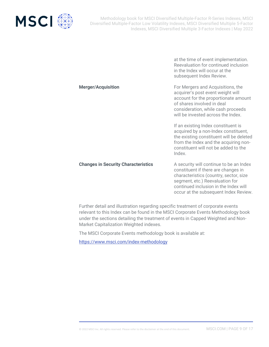

at the time of event implementation. Reevaluation for continued inclusion in the Index will occur at the subsequent Index Review. **Merger/Acquisition** For Mergers and Acquisitions, the acquirer's post event weight will account for the proportionate amount of shares involved in deal consideration, while cash proceeds will be invested across the Index. If an existing Index constituent is acquired by a non-Index constituent, the existing constituent will be deleted from the Index and the acquiring nonconstituent will not be added to the Index. **Changes in Security Characteristics** A security will continue to be an Index constituent if there are changes in characteristics (country, sector, size segment, etc.) Reevaluation for

> continued inclusion in the Index will occur at the subsequent Index Review.

Further detail and illustration regarding specific treatment of corporate events relevant to this Index can be found in the MSCI Corporate Events Methodology book under the sections detailing the treatment of events in Capped Weighted and Non-Market Capitalization Weighted indexes.

The MSCI Corporate Events methodology book is available at:

<https://www.msci.com/index-methodology>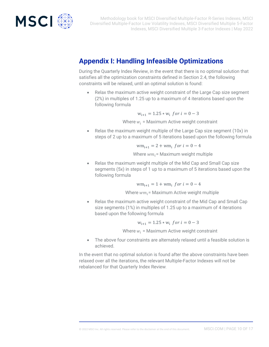

# **Appendix I: Handling Infeasible Optimizations**

During the Quarterly Index Review, in the event that there is no optimal solution that satisfies all the optimization constraints defined in Section 2.4, the following constraints will be relaxed, until an optimal solution is found:

• Relax the maximum active weight constraint of the Large Cap size segment (2%) in multiples of 1.25 up to a maximum of 4 iterations based upon the following formula

$$
w_{i+1} = 1.25 \times w_i \text{ for } i = 0 - 3
$$

Where  $w_i$  = Maximum Active weight constraint

• Relax the maximum weight multiple of the Large Cap size segment (10x) in steps of 2 up to a maximum of 5 iterations based upon the following formula

$$
wm_{i+1} = 2 + w m_i \text{ for } i = 0 - 4
$$

Where  $wm_i$  = Maximum weight multiple

• Relax the maximum weight multiple of the Mid Cap and Small Cap size segments (5x) in steps of 1 up to a maximum of 5 iterations based upon the following formula

 $wm_{i+1} = 1 + w m_i$  for  $i = 0 - 4$ 

Where  $wm_i$ = Maximum Active weight multiple

• Relax the maximum active weight constraint of the Mid Cap and Small Cap size segments (1%) in multiples of 1.25 up to a maximum of 4 iterations based upon the following formula

 $w_{i+1} = 1.25 * w_i$  for  $i = 0 - 3$ 

Where  $w_i$  = Maximum Active weight constraint

• The above four constraints are alternately relaxed until a feasible solution is achieved.

In the event that no optimal solution is found after the above constraints have been relaxed over all the iterations, the relevant Multiple-Factor Indexes will not be rebalanced for that Quarterly Index Review.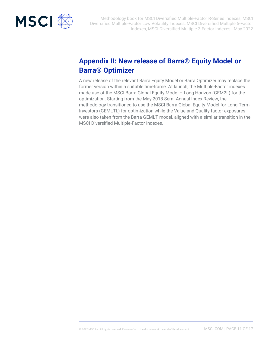

# **Appendix II: New release of Barra® Equity Model or Barra® Optimizer**

A new release of the relevant Barra Equity Model or Barra Optimizer may replace the former version within a suitable timeframe. At launch, the Multiple-Factor indexes made use of the MSCI Barra Global Equity Model – Long Horizon (GEM2L) for the optimization. Starting from the May 2018 Semi-Annual Index Review, the methodology transitioned to use the MSCI Barra Global Equity Model for Long-Term Investors (GEMLTL) for optimization while the Value and Quality factor exposures were also taken from the Barra GEMLT model, aligned with a similar transition in the MSCI Diversified Multiple-Factor Indexes.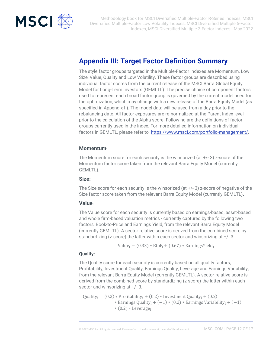

## **Appendix III: Target Factor Definition Summary**

The style factor groups targeted in the Multiple-Factor Indexes are Momentum, Low Size, Value, Quality and Low Volatility. These factor groups are described using individual factor scores from the current release of the MSCI Barra Global Equity Model for Long-Term Investors (GEMLTL). The precise choice of component factors used to represent each broad factor group is governed by the current model used for the optimization, which may change with a new release of the Barra Equity Model (as specified in Appendix II). The model data will be used from a day prior to the rebalancing date. All factor exposures are re-normalized at the Parent Index level prior to the calculation of the Alpha score. Following are the definitions of factor groups currently used in the Index. For more detailed information on individual factors in GEMLTL, please refer to [https://www.msci.com/portfolio-management/.](https://www.msci.com/portfolio-management/)

#### **Momentum:**

The Momentum score for each security is the winsorized (at +/- 3) z-score of the Momentum factor score taken from the relevant Barra Equity Model (currently GEMLTL).

#### **Size:**

The Size score for each security is the winsorized (at +/- 3) z-score of negative of the Size factor score taken from the relevant Barra Equity Model (currently GEMLTL).

#### **Value:**

The Value score for each security is currently based on earnings-based, asset-based and whole firm-based valuation metrics - currently captured by the following two factors, Book-to-Price and Earnings Yield, from the relevant Barra Equity Model (currently GEMLTL). A sector-relative score is derived from the combined score by standardizing (z-score) the latter within each sector and winsorizing at +/- 3.

 $Value_i = (0.33) * BtoP_i + (0.67) * EarningSYield_i$ 

#### **Quality:**

The Quality score for each security is currently based on all quality factors, Profitability, Investment Quality, Earnings Quality, Leverage and Earnings Variability, from the relevant Barra Equity Model (currently GEMLTL). A sector-relative score is derived from the combined score by standardizing (z-score) the latter within each sector and winsorizing at +/- 3.

Quality<sub>i</sub> =  $(0.2)$  \* Profitability<sub>i</sub> +  $(0.2)$  \* Investment Quality<sub>i</sub> +  $(0.2)$  $*$  Earnings Quality<sub>i</sub> + (-1)  $*(0.2) *$  Earnings Variability<sub>i</sub> + (-1) ∗ (0.2) ∗ Leverage<sup>i</sup>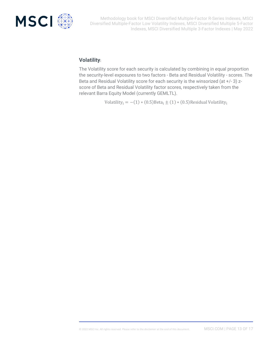

### **Volatility:**

The Volatility score for each security is calculated by combining in equal proportion the security-level exposures to two factors - Beta and Residual Volatility - scores. The Beta and Residual Volatility score for each security is the winsorized (at +/- 3) zscore of Beta and Residual Volatility factor scores, respectively taken from the relevant Barra Equity Model (currently GEMLTL).

Volatility<sub>i</sub> =  $-(1) * (0.5)$ Beta<sub>i</sub> ± (1) \* (0.5)Residual Volatility<sub>i</sub>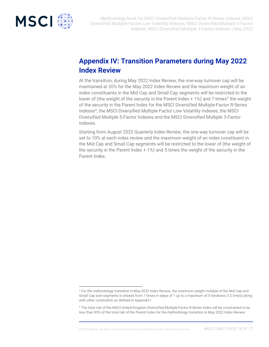

# **Appendix IV: Transition Parameters during May 2022 Index Review**

At the transition, during May 2022 Index Review, the one-way turnover cap will be maintained at 20% for the May 2022 Index Review and the maximum weight of an index constituents in the Mid Cap and Small Cap segments will be restricted to the lower of (the weight of the security in the Parent Index  $+1\%$ ) and 7 times<sup>3</sup> the weight of the security in the Parent Index for the MSCI Diversified Multiple-Factor R-Series Indexes<sup>4</sup>, the MSCI Diversified Multiple Factor Low Volatility Indexes, the MSCI Diversified Multiple 5-Factor Indexes and the MSCI Diversified Multiple 3-Factor Indexes.

Starting from August 2022 Quarterly Index Review, the one-way turnover cap will be set to 10% at each index review and the maximum weight of an index constituent in the Mid Cap and Small Cap segments will be restricted to the lower of (the weight of the security in the Parent Index + 1%) and 5 times the weight of the security in the Parent Index.

<sup>&</sup>lt;sup>3</sup> For the methodology transition in May 2022 Index Review, the maximum weight multiple of the Mid Cap and Small Cap size segments is relaxed from 7 times in steps of 1 up to a maximum of 5 iterations (12 times) along with other constraints as defined in Appendix I

<sup>4</sup> The total risk of the MSCI United Kingdom Diversified Multiple-Factor R-Series Index will be constrained to be less than 95% of the total risk of the Parent Index for the methodology transition in May 2022 Index Review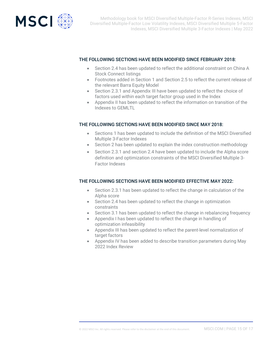

#### THE FOLLOWING SECTIONS HAVE BEEN MODIFIED SINCE FEBRUARY 2018:

- Section 2.4 has been updated to reflect the additional constraint on China A Stock Connect listings
- Footnotes added in Section 1 and Section 2.5 to reflect the current release of the relevant Barra Equity Model
- Section 2.3.1 and Appendix III have been updated to reflect the choice of factors used within each target factor group used in the Index
- Appendix II has been updated to reflect the information on transition of the Indexes to GEMLTL

#### THE FOLLOWING SECTIONS HAVE BEEN MODIFIED SINCE MAY 2018:

- Sections 1 has been updated to include the definition of the MSCI Diversified Multiple 3-Factor Indexes
- Section 2 has been updated to explain the index construction methodology
- Section 2.3.1 and section 2.4 have been updated to include the Alpha score definition and optimization constraints of the MSCI Diversified Multiple 3- Factor Indexes

#### THE FOLLOWING SECTIONS HAVE BEEN MODIFIED EFFECTIVE MAY 2022:

- Section 2.3.1 has been updated to reflect the change in calculation of the Alpha score
- Section 2.4 has been updated to reflect the change in optimization constraints
- Section 3.1 has been updated to reflect the change in rebalancing frequency
- Appendix I has been updated to reflect the change in handling of optimization infeasibility
- Appendix III has been updated to reflect the parent-level normalization of target factors
- Appendix IV has been added to describe transition parameters during May 2022 Index Review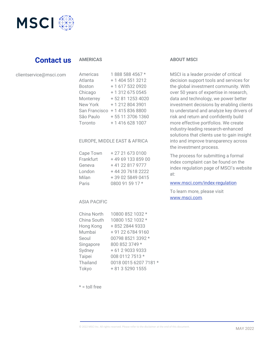

### **Contact us**

#### **AMERICAS**

#### clientservice@msci.com

| <i>E</i> 11151 1595 | <u>, uuu uuu -uu /</u> |
|---------------------|------------------------|
| Atlanta             | + 1 404 551 3212       |
| <b>Boston</b>       | +1 617 532 0920        |
| Chicago             | + 1 312 675 0545       |
| Monterrey           | +52 81 1253 4020       |
| <b>New York</b>     | +12128043901           |
| San Francisco       | +14158368800           |
| São Paulo           | + 55 11 3706 1360      |
| Toronto             | +1 416 628 1007        |
|                     |                        |

Americas 1 888 588 4567 \*

#### EUROPE, MIDDLE EAST & AFRICA

| Cape Town | +27216730100     |
|-----------|------------------|
| Frankfurt | +496913385900    |
| Geneva    | +41 22 817 9777  |
| London    | +44 20 7618 2222 |
| Milan     | +39 02 5849 0415 |
| Paris     | 0800 91 59 17 *  |

#### ASIA PACIFIC

| China North | 10800 852 1032 *      |
|-------------|-----------------------|
| China South | 10800 152 1032 *      |
| Hong Kong   | +852 2844 9333        |
| Mumbai      | + 91 22 6784 9160     |
| Seoul       | 00798 8521 3392 *     |
| Singapore   | 800 852 3749 *        |
| Sydney      | + 61 2 9033 9333      |
| Taipei      | 008 0112 7513 *       |
| Thailand    | 0018 0015 6207 7181 * |
| Tokyo       | + 81 3 5290 1555      |
|             |                       |

#### **ABOUT MSCI**

MSCI is a leader provider of critical decision support tools and services for the global investment community. With over 50 years of expertise in research, data and technology, we power better investment decisions by enabling clients to understand and analyze key drivers of risk and return and confidently build more effective portfolios. We create industry-leading research-enhanced solutions that clients use to gain insight into and improve transparency across the investment process.

The process for submitting a formal index complaint can be found on the index regulation page of MSCI's website at:

#### [www.msci.com/index-regulation](https://www.msci.com/index-regulation)

To learn more, please visit [www.msci.com.](file://///int.msci.com/root/Mumbai/lib/NPDData/Chirag/SF%20ESG%20Blk/meth%20book/Final%20Draft/www.msci.com)

 $* =$  toll free